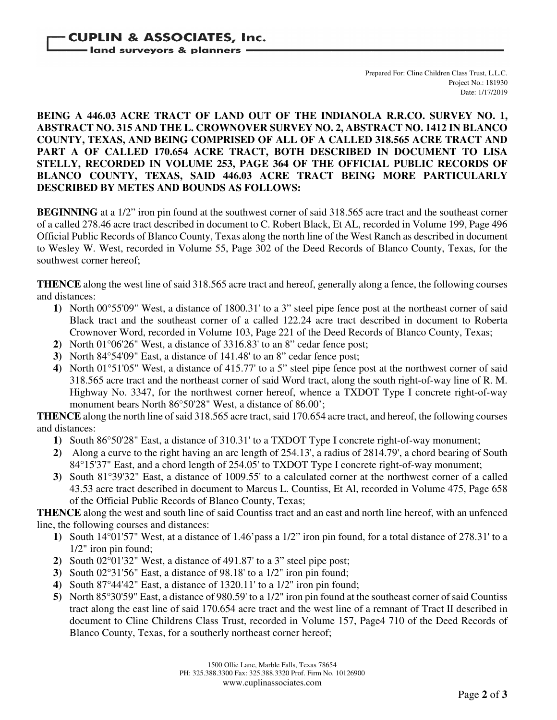Prepared For: Cline Children Class Trust, L.L.C. Project No.: 181930 Date: 1/17/2019

## **BEING A 446.03 ACRE TRACT OF LAND OUT OF THE INDIANOLA R.R.CO. SURVEY NO. 1, ABSTRACT NO. 315 AND THE L. CROWNOVER SURVEY NO. 2, ABSTRACT NO. 1412 IN BLANCO COUNTY, TEXAS, AND BEING COMPRISED OF ALL OF A CALLED 318.565 ACRE TRACT AND PART A OF CALLED 170.654 ACRE TRACT, BOTH DESCRIBED IN DOCUMENT TO LISA STELLY, RECORDED IN VOLUME 253, PAGE 364 OF THE OFFICIAL PUBLIC RECORDS OF BLANCO COUNTY, TEXAS, SAID 446.03 ACRE TRACT BEING MORE PARTICULARLY DESCRIBED BY METES AND BOUNDS AS FOLLOWS:**

**BEGINNING** at a 1/2" iron pin found at the southwest corner of said 318.565 acre tract and the southeast corner of a called 278.46 acre tract described in document to C. Robert Black, Et AL, recorded in Volume 199, Page 496 Official Public Records of Blanco County, Texas along the north line of the West Ranch as described in document to Wesley W. West, recorded in Volume 55, Page 302 of the Deed Records of Blanco County, Texas, for the southwest corner hereof;

**THENCE** along the west line of said 318.565 acre tract and hereof, generally along a fence, the following courses and distances:

- **1)** North 00°55'09" West, a distance of 1800.31' to a 3" steel pipe fence post at the northeast corner of said Black tract and the southeast corner of a called 122.24 acre tract described in document to Roberta Crownover Word, recorded in Volume 103, Page 221 of the Deed Records of Blanco County, Texas;
- **2)** North 01°06'26" West, a distance of 3316.83' to an 8" cedar fence post;
- **3)** North 84°54'09" East, a distance of 141.48' to an 8" cedar fence post;
- **4)** North 01°51'05" West, a distance of 415.77' to a 5" steel pipe fence post at the northwest corner of said 318.565 acre tract and the northeast corner of said Word tract, along the south right-of-way line of R. M. Highway No. 3347, for the northwest corner hereof, whence a TXDOT Type I concrete right-of-way monument bears North 86°50'28" West, a distance of 86.00';

**THENCE** along the north line of said 318.565 acre tract, said 170.654 acre tract, and hereof, the following courses and distances:

- **1)** South 86°50'28" East, a distance of 310.31' to a TXDOT Type I concrete right-of-way monument;
- **2)** Along a curve to the right having an arc length of 254.13', a radius of 2814.79', a chord bearing of South 84°15'37" East, and a chord length of 254.05' to TXDOT Type I concrete right-of-way monument;
- **3)** South 81°39'32" East, a distance of 1009.55' to a calculated corner at the northwest corner of a called 43.53 acre tract described in document to Marcus L. Countiss, Et Al, recorded in Volume 475, Page 658 of the Official Public Records of Blanco County, Texas;

**THENCE** along the west and south line of said Countiss tract and an east and north line hereof, with an unfenced line, the following courses and distances:

- **1)** South 14°01'57" West, at a distance of 1.46'pass a 1/2" iron pin found, for a total distance of 278.31' to a 1/2" iron pin found;
- **2)** South 02°01'32" West, a distance of 491.87' to a 3" steel pipe post;
- **3)** South 02°31'56" East, a distance of 98.18' to a 1/2" iron pin found;
- **4)** South 87°44'42" East, a distance of 1320.11' to a 1/2" iron pin found;
- **5)** North 85°30'59" East, a distance of 980.59' to a 1/2" iron pin found at the southeast corner of said Countiss tract along the east line of said 170.654 acre tract and the west line of a remnant of Tract II described in document to Cline Childrens Class Trust, recorded in Volume 157, Page4 710 of the Deed Records of Blanco County, Texas, for a southerly northeast corner hereof;